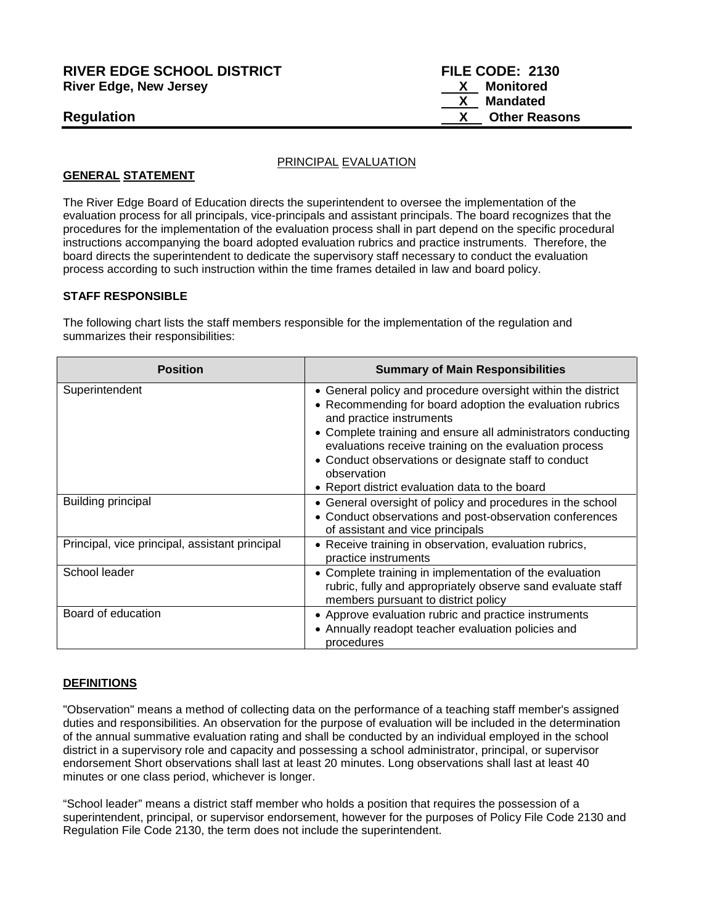# **RIVER EDGE SCHOOL DISTRICT FILE CODE: 2130 River Edge, New Jersey X Monitored**

#### PRINCIPAL EVALUATION

#### **GENERAL STATEMENT**

The River Edge Board of Education directs the superintendent to oversee the implementation of the evaluation process for all principals, vice-principals and assistant principals. The board recognizes that the procedures for the implementation of the evaluation process shall in part depend on the specific procedural instructions accompanying the board adopted evaluation rubrics and practice instruments. Therefore, the board directs the superintendent to dedicate the supervisory staff necessary to conduct the evaluation process according to such instruction within the time frames detailed in law and board policy.

#### **STAFF RESPONSIBLE**

The following chart lists the staff members responsible for the implementation of the regulation and summarizes their responsibilities:

| <b>Position</b>                                | <b>Summary of Main Responsibilities</b>                                                                                                                                                                                                                                                                                                                                                                 |
|------------------------------------------------|---------------------------------------------------------------------------------------------------------------------------------------------------------------------------------------------------------------------------------------------------------------------------------------------------------------------------------------------------------------------------------------------------------|
| Superintendent                                 | • General policy and procedure oversight within the district<br>• Recommending for board adoption the evaluation rubrics<br>and practice instruments<br>• Complete training and ensure all administrators conducting<br>evaluations receive training on the evaluation process<br>• Conduct observations or designate staff to conduct<br>observation<br>• Report district evaluation data to the board |
| <b>Building principal</b>                      | • General oversight of policy and procedures in the school<br>• Conduct observations and post-observation conferences<br>of assistant and vice principals                                                                                                                                                                                                                                               |
| Principal, vice principal, assistant principal | • Receive training in observation, evaluation rubrics,<br>practice instruments                                                                                                                                                                                                                                                                                                                          |
| School leader                                  | • Complete training in implementation of the evaluation<br>rubric, fully and appropriately observe sand evaluate staff<br>members pursuant to district policy                                                                                                                                                                                                                                           |
| Board of education                             | • Approve evaluation rubric and practice instruments<br>• Annually readopt teacher evaluation policies and<br>procedures                                                                                                                                                                                                                                                                                |

## **DEFINITIONS**

"Observation" means a method of collecting data on the performance of a teaching staff member's assigned duties and responsibilities. An observation for the purpose of evaluation will be included in the determination of the annual summative evaluation rating and shall be conducted by an individual employed in the school district in a supervisory role and capacity and possessing a school administrator, principal, or supervisor endorsement Short observations shall last at least 20 minutes. Long observations shall last at least 40 minutes or one class period, whichever is longer.

"School leader" means a district staff member who holds a position that requires the possession of a superintendent, principal, or supervisor endorsement, however for the purposes of Policy File Code 2130 and Regulation File Code 2130, the term does not include the superintendent.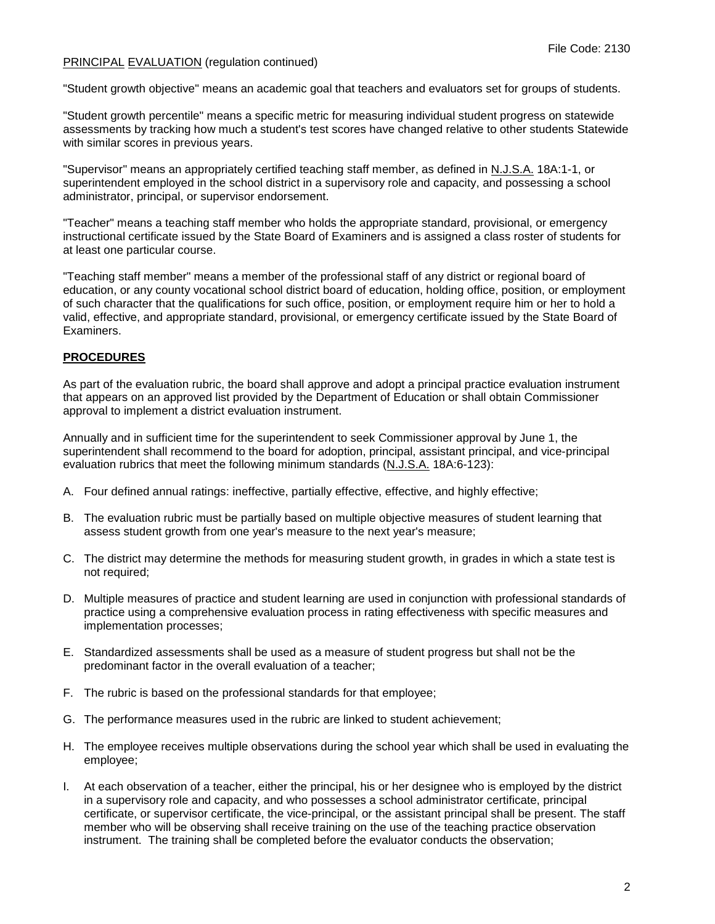"Student growth objective" means an academic goal that teachers and evaluators set for groups of students.

"Student growth percentile" means a specific metric for measuring individual student progress on statewide assessments by tracking how much a student's test scores have changed relative to other students Statewide with similar scores in previous years.

"Supervisor" means an appropriately certified teaching staff member, as defined in N.J.S.A. 18A:1-1, or superintendent employed in the school district in a supervisory role and capacity, and possessing a school administrator, principal, or supervisor endorsement.

"Teacher" means a teaching staff member who holds the appropriate standard, provisional, or emergency instructional certificate issued by the State Board of Examiners and is assigned a class roster of students for at least one particular course.

"Teaching staff member" means a member of the professional staff of any district or regional board of education, or any county vocational school district board of education, holding office, position, or employment of such character that the qualifications for such office, position, or employment require him or her to hold a valid, effective, and appropriate standard, provisional, or emergency certificate issued by the State Board of **Examiners** 

### **PROCEDURES**

As part of the evaluation rubric, the board shall approve and adopt a principal practice evaluation instrument that appears on an approved list provided by the Department of Education or shall obtain Commissioner approval to implement a district evaluation instrument.

Annually and in sufficient time for the superintendent to seek Commissioner approval by June 1, the superintendent shall recommend to the board for adoption, principal, assistant principal, and vice-principal evaluation rubrics that meet the following minimum standards (N.J.S.A. 18A:6-123):

- A. Four defined annual ratings: ineffective, partially effective, effective, and highly effective;
- B. The evaluation rubric must be partially based on multiple objective measures of student learning that assess student growth from one year's measure to the next year's measure;
- C. The district may determine the methods for measuring student growth, in grades in which a state test is not required;
- D. Multiple measures of practice and student learning are used in conjunction with professional standards of practice using a comprehensive evaluation process in rating effectiveness with specific measures and implementation processes;
- E. Standardized assessments shall be used as a measure of student progress but shall not be the predominant factor in the overall evaluation of a teacher;
- F. The rubric is based on the professional standards for that employee;
- G. The performance measures used in the rubric are linked to student achievement;
- H. The employee receives multiple observations during the school year which shall be used in evaluating the employee;
- I. At each observation of a teacher, either the principal, his or her designee who is employed by the district in a supervisory role and capacity, and who possesses a school administrator certificate, principal certificate, or supervisor certificate, the vice-principal, or the assistant principal shall be present. The staff member who will be observing shall receive training on the use of the teaching practice observation instrument. The training shall be completed before the evaluator conducts the observation;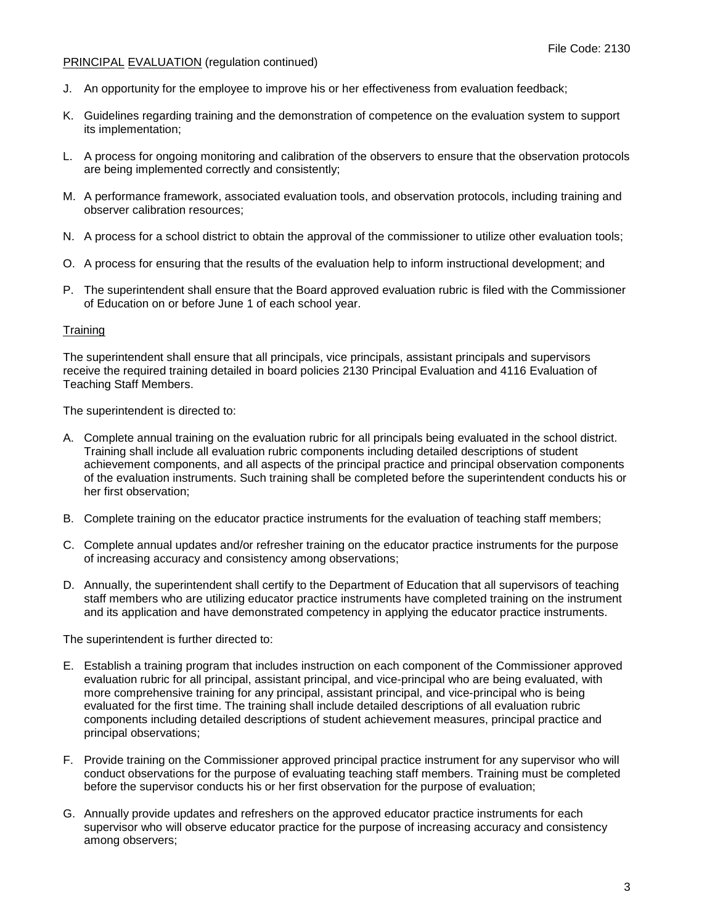- J. An opportunity for the employee to improve his or her effectiveness from evaluation feedback;
- K. Guidelines regarding training and the demonstration of competence on the evaluation system to support its implementation;
- L. A process for ongoing monitoring and calibration of the observers to ensure that the observation protocols are being implemented correctly and consistently;
- M. A performance framework, associated evaluation tools, and observation protocols, including training and observer calibration resources;
- N. A process for a school district to obtain the approval of the commissioner to utilize other evaluation tools;
- O. A process for ensuring that the results of the evaluation help to inform instructional development; and
- P. The superintendent shall ensure that the Board approved evaluation rubric is filed with the Commissioner of Education on or before June 1 of each school year.

#### **Training**

The superintendent shall ensure that all principals, vice principals, assistant principals and supervisors receive the required training detailed in board policies 2130 Principal Evaluation and 4116 Evaluation of Teaching Staff Members.

The superintendent is directed to:

- A. Complete annual training on the evaluation rubric for all principals being evaluated in the school district. Training shall include all evaluation rubric components including detailed descriptions of student achievement components, and all aspects of the principal practice and principal observation components of the evaluation instruments. Such training shall be completed before the superintendent conducts his or her first observation;
- B. Complete training on the educator practice instruments for the evaluation of teaching staff members;
- C. Complete annual updates and/or refresher training on the educator practice instruments for the purpose of increasing accuracy and consistency among observations;
- D. Annually, the superintendent shall certify to the Department of Education that all supervisors of teaching staff members who are utilizing educator practice instruments have completed training on the instrument and its application and have demonstrated competency in applying the educator practice instruments.

The superintendent is further directed to:

- E. Establish a training program that includes instruction on each component of the Commissioner approved evaluation rubric for all principal, assistant principal, and vice-principal who are being evaluated, with more comprehensive training for any principal, assistant principal, and vice-principal who is being evaluated for the first time. The training shall include detailed descriptions of all evaluation rubric components including detailed descriptions of student achievement measures, principal practice and principal observations;
- F. Provide training on the Commissioner approved principal practice instrument for any supervisor who will conduct observations for the purpose of evaluating teaching staff members. Training must be completed before the supervisor conducts his or her first observation for the purpose of evaluation;
- G. Annually provide updates and refreshers on the approved educator practice instruments for each supervisor who will observe educator practice for the purpose of increasing accuracy and consistency among observers;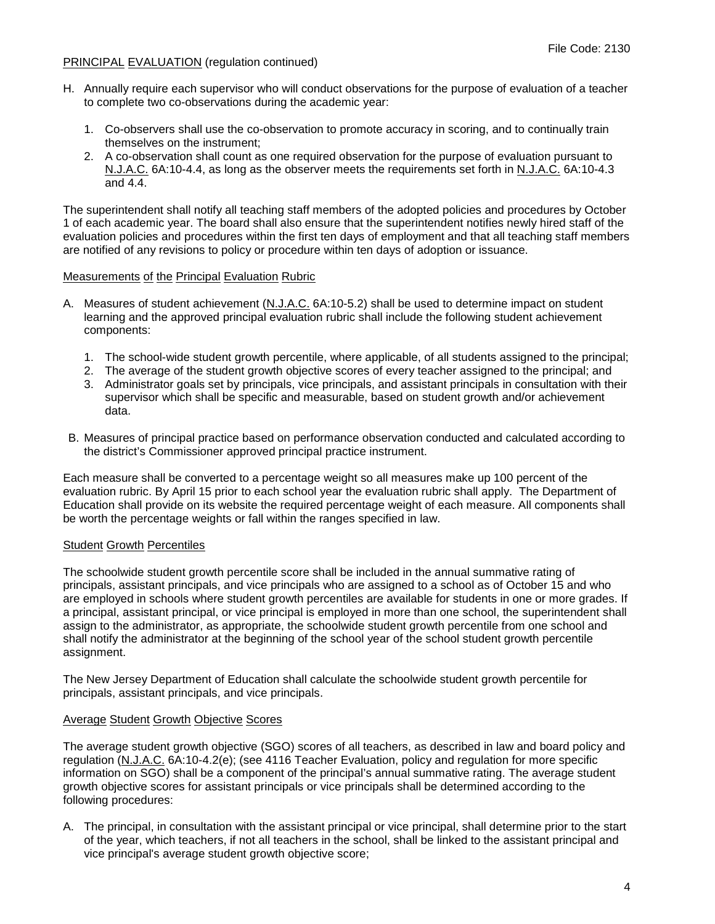- H. Annually require each supervisor who will conduct observations for the purpose of evaluation of a teacher to complete two co-observations during the academic year:
	- 1. Co-observers shall use the co-observation to promote accuracy in scoring, and to continually train themselves on the instrument;
	- 2. A co-observation shall count as one required observation for the purpose of evaluation pursuant to N.J.A.C. 6A:10-4.4, as long as the observer meets the requirements set forth in N.J.A.C. 6A:10-4.3 and 4.4.

The superintendent shall notify all teaching staff members of the adopted policies and procedures by October 1 of each academic year. The board shall also ensure that the superintendent notifies newly hired staff of the evaluation policies and procedures within the first ten days of employment and that all teaching staff members are notified of any revisions to policy or procedure within ten days of adoption or issuance.

#### Measurements of the Principal Evaluation Rubric

- A. Measures of student achievement (N.J.A.C. 6A:10-5.2) shall be used to determine impact on student learning and the approved principal evaluation rubric shall include the following student achievement components:
	- 1. The school-wide student growth percentile, where applicable, of all students assigned to the principal;
	- 2. The average of the student growth objective scores of every teacher assigned to the principal; and
	- 3. Administrator goals set by principals, vice principals, and assistant principals in consultation with their supervisor which shall be specific and measurable, based on student growth and/or achievement data.
- B. Measures of principal practice based on performance observation conducted and calculated according to the district's Commissioner approved principal practice instrument.

Each measure shall be converted to a percentage weight so all measures make up 100 percent of the evaluation rubric. By April 15 prior to each school year the evaluation rubric shall apply. The Department of Education shall provide on its website the required percentage weight of each measure. All components shall be worth the percentage weights or fall within the ranges specified in law.

## Student Growth Percentiles

The schoolwide student growth percentile score shall be included in the annual summative rating of principals, assistant principals, and vice principals who are assigned to a school as of October 15 and who are employed in schools where student growth percentiles are available for students in one or more grades. If a principal, assistant principal, or vice principal is employed in more than one school, the superintendent shall assign to the administrator, as appropriate, the schoolwide student growth percentile from one school and shall notify the administrator at the beginning of the school year of the school student growth percentile assignment.

The New Jersey Department of Education shall calculate the schoolwide student growth percentile for principals, assistant principals, and vice principals.

## Average Student Growth Objective Scores

The average student growth objective (SGO) scores of all teachers, as described in law and board policy and regulation (N.J.A.C. 6A:10-4.2(e); (see 4116 Teacher Evaluation, policy and regulation for more specific information on SGO) shall be a component of the principal's annual summative rating. The average student growth objective scores for assistant principals or vice principals shall be determined according to the following procedures:

A. The principal, in consultation with the assistant principal or vice principal, shall determine prior to the start of the year, which teachers, if not all teachers in the school, shall be linked to the assistant principal and vice principal's average student growth objective score;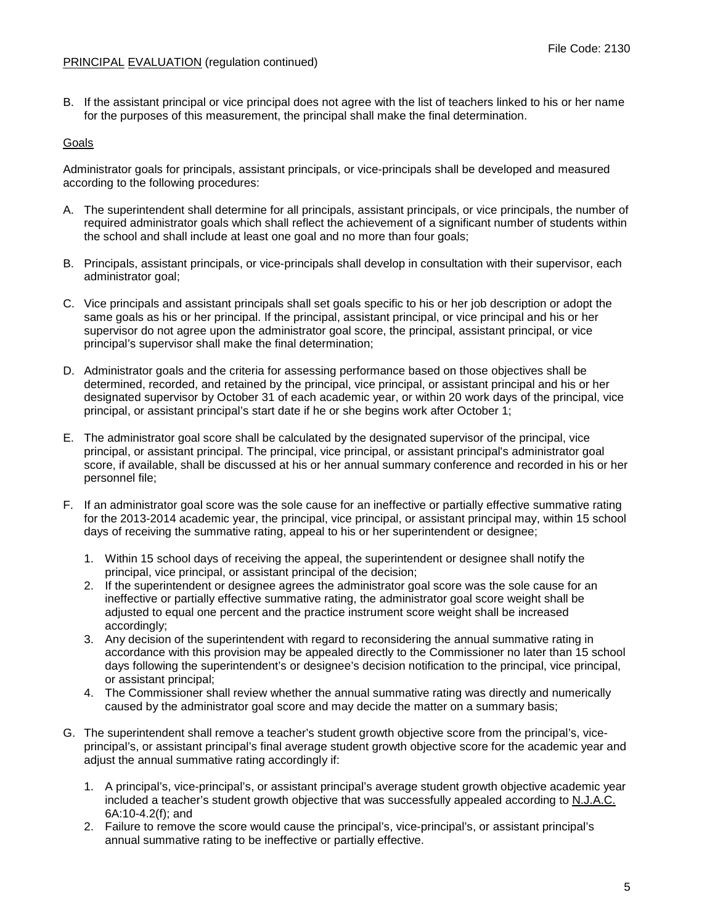B. If the assistant principal or vice principal does not agree with the list of teachers linked to his or her name for the purposes of this measurement, the principal shall make the final determination.

## **Goals**

Administrator goals for principals, assistant principals, or vice-principals shall be developed and measured according to the following procedures:

- A. The superintendent shall determine for all principals, assistant principals, or vice principals, the number of required administrator goals which shall reflect the achievement of a significant number of students within the school and shall include at least one goal and no more than four goals;
- B. Principals, assistant principals, or vice-principals shall develop in consultation with their supervisor, each administrator goal;
- C. Vice principals and assistant principals shall set goals specific to his or her job description or adopt the same goals as his or her principal. If the principal, assistant principal, or vice principal and his or her supervisor do not agree upon the administrator goal score, the principal, assistant principal, or vice principal's supervisor shall make the final determination;
- D. Administrator goals and the criteria for assessing performance based on those objectives shall be determined, recorded, and retained by the principal, vice principal, or assistant principal and his or her designated supervisor by October 31 of each academic year, or within 20 work days of the principal, vice principal, or assistant principal's start date if he or she begins work after October 1;
- E. The administrator goal score shall be calculated by the designated supervisor of the principal, vice principal, or assistant principal. The principal, vice principal, or assistant principal's administrator goal score, if available, shall be discussed at his or her annual summary conference and recorded in his or her personnel file;
- F. If an administrator goal score was the sole cause for an ineffective or partially effective summative rating for the 2013-2014 academic year, the principal, vice principal, or assistant principal may, within 15 school days of receiving the summative rating, appeal to his or her superintendent or designee;
	- 1. Within 15 school days of receiving the appeal, the superintendent or designee shall notify the principal, vice principal, or assistant principal of the decision;
	- 2. If the superintendent or designee agrees the administrator goal score was the sole cause for an ineffective or partially effective summative rating, the administrator goal score weight shall be adjusted to equal one percent and the practice instrument score weight shall be increased accordingly;
	- 3. Any decision of the superintendent with regard to reconsidering the annual summative rating in accordance with this provision may be appealed directly to the Commissioner no later than 15 school days following the superintendent's or designee's decision notification to the principal, vice principal, or assistant principal;
	- 4. The Commissioner shall review whether the annual summative rating was directly and numerically caused by the administrator goal score and may decide the matter on a summary basis;
- G. The superintendent shall remove a teacher's student growth objective score from the principal's, viceprincipal's, or assistant principal's final average student growth objective score for the academic year and adjust the annual summative rating accordingly if:
	- 1. A principal's, vice-principal's, or assistant principal's average student growth objective academic year included a teacher's student growth objective that was successfully appealed according to N.J.A.C. 6A:10-4.2(f); and
	- 2. Failure to remove the score would cause the principal's, vice-principal's, or assistant principal's annual summative rating to be ineffective or partially effective.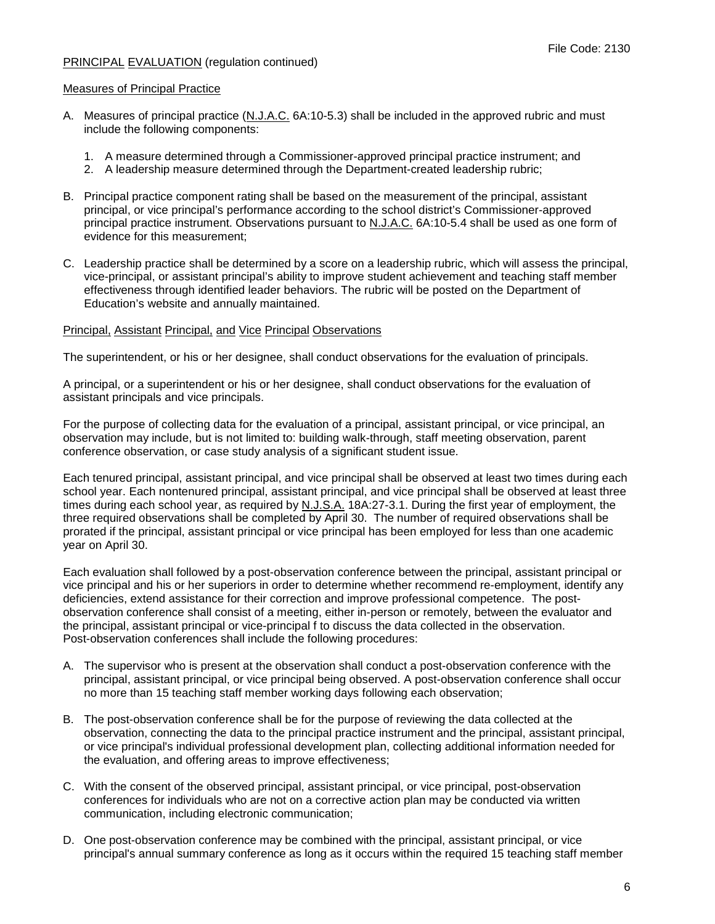#### Measures of Principal Practice

- A. Measures of principal practice (N.J.A.C. 6A:10-5.3) shall be included in the approved rubric and must include the following components:
	- 1. A measure determined through a Commissioner-approved principal practice instrument; and
	- 2. A leadership measure determined through the Department-created leadership rubric;
- B. Principal practice component rating shall be based on the measurement of the principal, assistant principal, or vice principal's performance according to the school district's Commissioner-approved principal practice instrument. Observations pursuant to N.J.A.C. 6A:10-5.4 shall be used as one form of evidence for this measurement;
- C. Leadership practice shall be determined by a score on a leadership rubric, which will assess the principal, vice-principal, or assistant principal's ability to improve student achievement and teaching staff member effectiveness through identified leader behaviors. The rubric will be posted on the Department of Education's website and annually maintained.

#### Principal, Assistant Principal, and Vice Principal Observations

The superintendent, or his or her designee, shall conduct observations for the evaluation of principals.

A principal, or a superintendent or his or her designee, shall conduct observations for the evaluation of assistant principals and vice principals.

For the purpose of collecting data for the evaluation of a principal, assistant principal, or vice principal, an observation may include, but is not limited to: building walk-through, staff meeting observation, parent conference observation, or case study analysis of a significant student issue.

Each tenured principal, assistant principal, and vice principal shall be observed at least two times during each school year. Each nontenured principal, assistant principal, and vice principal shall be observed at least three times during each school year, as required by N.J.S.A. 18A:27-3.1. During the first year of employment, the three required observations shall be completed by April 30. The number of required observations shall be prorated if the principal, assistant principal or vice principal has been employed for less than one academic year on April 30.

Each evaluation shall followed by a post-observation conference between the principal, assistant principal or vice principal and his or her superiors in order to determine whether recommend re-employment, identify any deficiencies, extend assistance for their correction and improve professional competence. The postobservation conference shall consist of a meeting, either in-person or remotely, between the evaluator and the principal, assistant principal or vice-principal f to discuss the data collected in the observation. Post-observation conferences shall include the following procedures:

- A. The supervisor who is present at the observation shall conduct a post-observation conference with the principal, assistant principal, or vice principal being observed. A post-observation conference shall occur no more than 15 teaching staff member working days following each observation;
- B. The post-observation conference shall be for the purpose of reviewing the data collected at the observation, connecting the data to the principal practice instrument and the principal, assistant principal, or vice principal's individual professional development plan, collecting additional information needed for the evaluation, and offering areas to improve effectiveness;
- C. With the consent of the observed principal, assistant principal, or vice principal, post-observation conferences for individuals who are not on a corrective action plan may be conducted via written communication, including electronic communication;
- D. One post-observation conference may be combined with the principal, assistant principal, or vice principal's annual summary conference as long as it occurs within the required 15 teaching staff member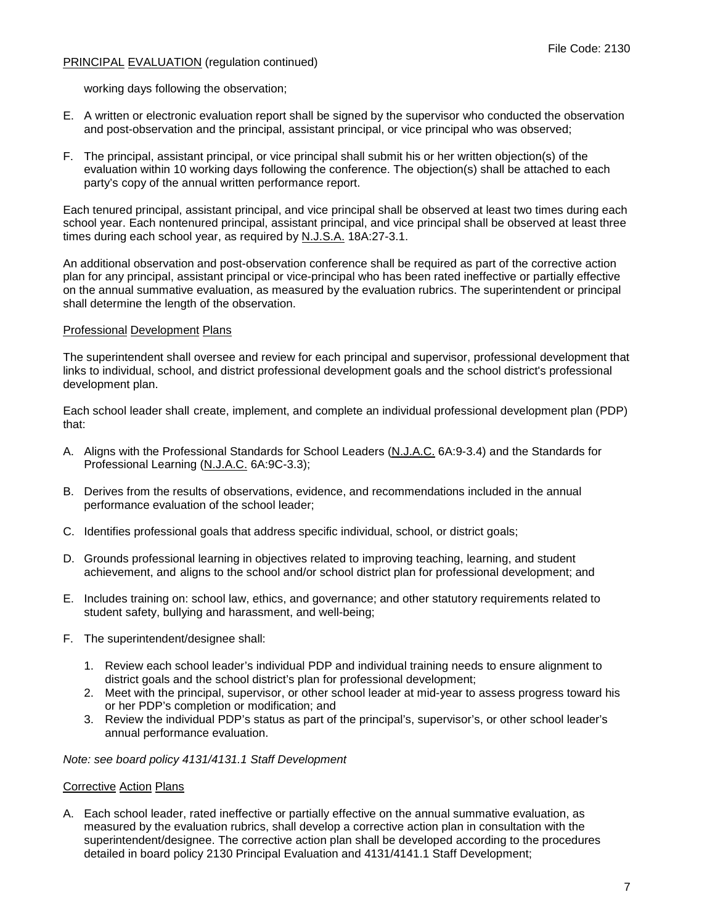working days following the observation;

- E. A written or electronic evaluation report shall be signed by the supervisor who conducted the observation and post-observation and the principal, assistant principal, or vice principal who was observed;
- F. The principal, assistant principal, or vice principal shall submit his or her written objection(s) of the evaluation within 10 working days following the conference. The objection(s) shall be attached to each party's copy of the annual written performance report.

Each tenured principal, assistant principal, and vice principal shall be observed at least two times during each school year. Each nontenured principal, assistant principal, and vice principal shall be observed at least three times during each school year, as required by N.J.S.A. 18A:27-3.1.

An additional observation and post-observation conference shall be required as part of the corrective action plan for any principal, assistant principal or vice-principal who has been rated ineffective or partially effective on the annual summative evaluation, as measured by the evaluation rubrics. The superintendent or principal shall determine the length of the observation.

#### Professional Development Plans

The superintendent shall oversee and review for each principal and supervisor, professional development that links to individual, school, and district professional development goals and the school district's professional development plan.

Each school leader shall create, implement, and complete an individual professional development plan (PDP) that:

- A. Aligns with the Professional Standards for School Leaders (N.J.A.C. 6A:9-3.4) and the Standards for Professional Learning (N.J.A.C. 6A:9C-3.3);
- B. Derives from the results of observations, evidence, and recommendations included in the annual performance evaluation of the school leader;
- C. Identifies professional goals that address specific individual, school, or district goals;
- D. Grounds professional learning in objectives related to improving teaching, learning, and student achievement, and aligns to the school and/or school district plan for professional development; and
- E. Includes training on: school law, ethics, and governance; and other statutory requirements related to student safety, bullying and harassment, and well-being;
- F. The superintendent/designee shall:
	- 1. Review each school leader's individual PDP and individual training needs to ensure alignment to district goals and the school district's plan for professional development;
	- 2. Meet with the principal, supervisor, or other school leader at mid-year to assess progress toward his or her PDP's completion or modification; and
	- 3. Review the individual PDP's status as part of the principal's, supervisor's, or other school leader's annual performance evaluation.

*Note: see board policy 4131/4131.1 Staff Development*

#### **Corrective Action Plans**

A. Each school leader, rated ineffective or partially effective on the annual summative evaluation, as measured by the evaluation rubrics, shall develop a corrective action plan in consultation with the superintendent/designee. The corrective action plan shall be developed according to the procedures detailed in board policy 2130 Principal Evaluation and 4131/4141.1 Staff Development;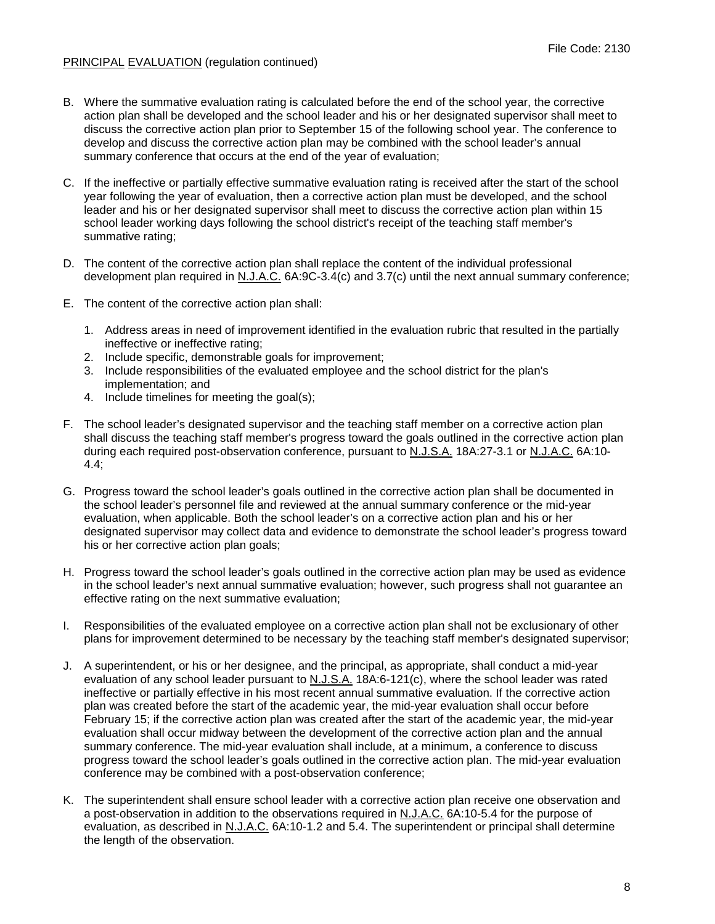- B. Where the summative evaluation rating is calculated before the end of the school year, the corrective action plan shall be developed and the school leader and his or her designated supervisor shall meet to discuss the corrective action plan prior to September 15 of the following school year. The conference to develop and discuss the corrective action plan may be combined with the school leader's annual summary conference that occurs at the end of the year of evaluation;
- C. If the ineffective or partially effective summative evaluation rating is received after the start of the school year following the year of evaluation, then a corrective action plan must be developed, and the school leader and his or her designated supervisor shall meet to discuss the corrective action plan within 15 school leader working days following the school district's receipt of the teaching staff member's summative rating;
- D. The content of the corrective action plan shall replace the content of the individual professional development plan required in N.J.A.C. 6A:9C-3.4(c) and 3.7(c) until the next annual summary conference;
- E. The content of the corrective action plan shall:
	- 1. Address areas in need of improvement identified in the evaluation rubric that resulted in the partially ineffective or ineffective rating;
	- 2. Include specific, demonstrable goals for improvement;
	- 3. Include responsibilities of the evaluated employee and the school district for the plan's implementation; and
	- 4. Include timelines for meeting the goal(s);
- F. The school leader's designated supervisor and the teaching staff member on a corrective action plan shall discuss the teaching staff member's progress toward the goals outlined in the corrective action plan during each required post-observation conference, pursuant to N.J.S.A. 18A:27-3.1 or N.J.A.C. 6A:10- 4.4;
- G. Progress toward the school leader's goals outlined in the corrective action plan shall be documented in the school leader's personnel file and reviewed at the annual summary conference or the mid-year evaluation, when applicable. Both the school leader's on a corrective action plan and his or her designated supervisor may collect data and evidence to demonstrate the school leader's progress toward his or her corrective action plan goals;
- H. Progress toward the school leader's goals outlined in the corrective action plan may be used as evidence in the school leader's next annual summative evaluation; however, such progress shall not guarantee an effective rating on the next summative evaluation;
- I. Responsibilities of the evaluated employee on a corrective action plan shall not be exclusionary of other plans for improvement determined to be necessary by the teaching staff member's designated supervisor;
- J. A superintendent, or his or her designee, and the principal, as appropriate, shall conduct a mid-year evaluation of any school leader pursuant to N.J.S.A. 18A:6-121(c), where the school leader was rated ineffective or partially effective in his most recent annual summative evaluation. If the corrective action plan was created before the start of the academic year, the mid-year evaluation shall occur before February 15; if the corrective action plan was created after the start of the academic year, the mid-year evaluation shall occur midway between the development of the corrective action plan and the annual summary conference. The mid-year evaluation shall include, at a minimum, a conference to discuss progress toward the school leader's goals outlined in the corrective action plan. The mid-year evaluation conference may be combined with a post-observation conference;
- K. The superintendent shall ensure school leader with a corrective action plan receive one observation and a post-observation in addition to the observations required in N.J.A.C. 6A:10-5.4 for the purpose of evaluation, as described in N.J.A.C. 6A:10-1.2 and 5.4. The superintendent or principal shall determine the length of the observation.